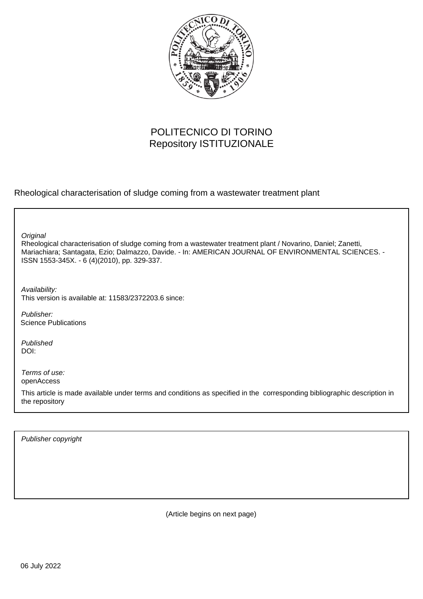

# POLITECNICO DI TORINO Repository ISTITUZIONALE

Rheological characterisation of sludge coming from a wastewater treatment plant

**Original** 

Rheological characterisation of sludge coming from a wastewater treatment plant / Novarino, Daniel; Zanetti, Mariachiara; Santagata, Ezio; Dalmazzo, Davide. - In: AMERICAN JOURNAL OF ENVIRONMENTAL SCIENCES. - ISSN 1553-345X. - 6 (4)(2010), pp. 329-337.

Availability: This version is available at: 11583/2372203.6 since:

Publisher: Science Publications

Published DOI:

Terms of use: openAccess

This article is made available under terms and conditions as specified in the corresponding bibliographic description in the repository

Publisher copyright

(Article begins on next page)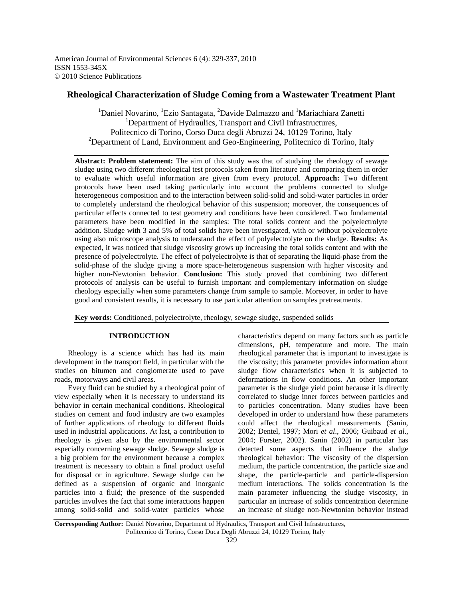American Journal of Environmental Sciences 6 (4): 329-337, 2010 ISSN 1553-345X © 2010 Science Publications

## **Rheological Characterization of Sludge Coming from a Wastewater Treatment Plant**

<sup>1</sup>Daniel Novarino, <sup>1</sup>Ezio Santagata, <sup>2</sup>Davide Dalmazzo and <sup>1</sup>Mariachiara Zanetti <sup>1</sup>Department of Hydraulics, Transport and Civil Infrastructures, Politecnico di Torino, Corso Duca degli Abruzzi 24, 10129 Torino, Italy <sup>2</sup>Department of Land, Environment and Geo-Engineering, Politecnico di Torino, Italy

**Abstract: Problem statement:** The aim of this study was that of studying the rheology of sewage sludge using two different rheological test protocols taken from literature and comparing them in order to evaluate which useful information are given from every protocol. **Approach:** Two different protocols have been used taking particularly into account the problems connected to sludge heterogeneous composition and to the interaction between solid-solid and solid-water particles in order to completely understand the rheological behavior of this suspension; moreover, the consequences of particular effects connected to test geometry and conditions have been considered. Two fundamental parameters have been modified in the samples: The total solids content and the polyelectrolyte addition. Sludge with 3 and 5% of total solids have been investigated, with or without polyelectrolyte using also microscope analysis to understand the effect of polyelectrolyte on the sludge. **Results:** As expected, it was noticed that sludge viscosity grows up increasing the total solids content and with the presence of polyelectrolyte. The effect of polyelectrolyte is that of separating the liquid-phase from the solid-phase of the sludge giving a more space-heterogeneous suspension with higher viscosity and higher non-Newtonian behavior. **Conclusion:** This study proved that combining two different protocols of analysis can be useful to furnish important and complementary information on sludge rheology especially when some parameters change from sample to sample. Moreover, in order to have good and consistent results, it is necessary to use particular attention on samples pretreatments.

**Key words:** Conditioned, polyelectrolyte, rheology, sewage sludge, suspended solids

## **INTRODUCTION**

 Rheology is a science which has had its main development in the transport field, in particular with the studies on bitumen and conglomerate used to pave roads, motorways and civil areas.

 Every fluid can be studied by a rheological point of view especially when it is necessary to understand its behavior in certain mechanical conditions. Rheological studies on cement and food industry are two examples of further applications of rheology to different fluids used in industrial applications. At last, a contribution to rheology is given also by the environmental sector especially concerning sewage sludge. Sewage sludge is a big problem for the environment because a complex treatment is necessary to obtain a final product useful for disposal or in agriculture. Sewage sludge can be defined as a suspension of organic and inorganic particles into a fluid; the presence of the suspended particles involves the fact that some interactions happen among solid-solid and solid-water particles whose

characteristics depend on many factors such as particle dimensions, pH, temperature and more. The main rheological parameter that is important to investigate is the viscosity; this parameter provides information about sludge flow characteristics when it is subjected to deformations in flow conditions. An other important parameter is the sludge yield point because it is directly correlated to sludge inner forces between particles and to particles concentration. Many studies have been developed in order to understand how these parameters could affect the rheological measurements (Sanin, 2002; Dentel, 1997; Mori *et al*., 2006; Guibaud *et al*., 2004; Forster, 2002). Sanin (2002) in particular has detected some aspects that influence the sludge rheological behavior: The viscosity of the dispersion medium, the particle concentration, the particle size and shape, the particle-particle and particle-dispersion medium interactions. The solids concentration is the main parameter influencing the sludge viscosity, in particular an increase of solids concentration determine an increase of sludge non-Newtonian behavior instead

**Corresponding Author:** Daniel Novarino, Department of Hydraulics, Transport and Civil Infrastructures, Politecnico di Torino, Corso Duca Degli Abruzzi 24, 10129 Torino, Italy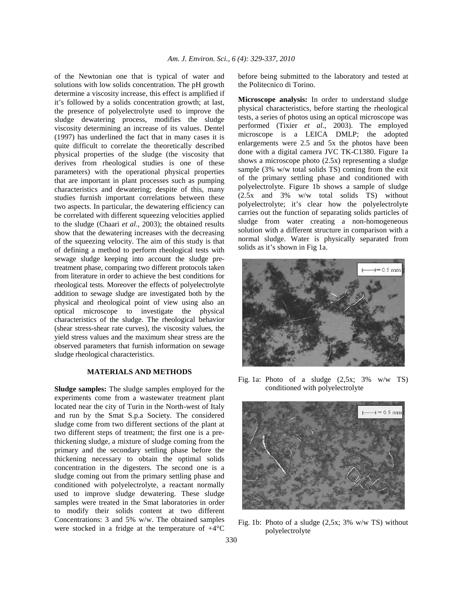of the Newtonian one that is typical of water and solutions with low solids concentration. The pH growth determine a viscosity increase, this effect is amplified if it's followed by a solids concentration growth; at last, the presence of polyelectrolyte used to improve the sludge dewatering process, modifies the sludge viscosity determining an increase of its values. Dentel (1997) has underlined the fact that in many cases it is quite difficult to correlate the theoretically described physical properties of the sludge (the viscosity that derives from rheological studies is one of these parameters) with the operational physical properties that are important in plant processes such as pumping characteristics and dewatering; despite of this, many studies furnish important correlations between these two aspects. In particular, the dewatering efficiency can be correlated with different squeezing velocities applied to the sludge (Chaari *et al*., 2003); the obtained results show that the dewatering increases with the decreasing of the squeezing velocity. The aim of this study is that of defining a method to perform rheological tests with sewage sludge keeping into account the sludge pretreatment phase, comparing two different protocols taken from literature in order to achieve the best conditions for rheological tests. Moreover the effects of polyelectrolyte addition to sewage sludge are investigated both by the physical and rheological point of view using also an optical microscope to investigate the physical characteristics of the sludge. The rheological behavior (shear stress-shear rate curves), the viscosity values, the yield stress values and the maximum shear stress are the observed parameters that furnish information on sewage sludge rheological characteristics.

## **MATERIALS AND METHODS**

**Sludge samples:** The sludge samples employed for the experiments come from a wastewater treatment plant located near the city of Turin in the North-west of Italy and run by the Smat S.p.a Society. The considered sludge come from two different sections of the plant at two different steps of treatment; the first one is a prethickening sludge, a mixture of sludge coming from the primary and the secondary settling phase before the thickening necessary to obtain the optimal solids concentration in the digesters. The second one is a sludge coming out from the primary settling phase and conditioned with polyelectrolyte, a reactant normally used to improve sludge dewatering. These sludge samples were treated in the Smat laboratories in order to modify their solids content at two different Concentrations: 3 and 5% w/w. The obtained samples were stocked in a fridge at the temperature of +4°C

before being submitted to the laboratory and tested at the Politecnico di Torino.

**Microscope analysis:** In order to understand sludge physical characteristics, before starting the rheological tests, a series of photos using an optical microscope was performed (Tixier *et al*., 2003). The employed microscope is a LEICA DMLP; the adopted enlargements were 2.5 and 5x the photos have been done with a digital camera JVC TK-C1380. Figure 1a shows a microscope photo (2.5x) representing a sludge sample (3% w/w total solids TS) coming from the exit of the primary settling phase and conditioned with polyelectrolyte. Figure 1b shows a sample of sludge (2.5x and 3% w/w total solids TS) without polyelectrolyte; it's clear how the polyelectrolyte carries out the function of separating solids particles of sludge from water creating a non-homogeneous solution with a different structure in comparison with a normal sludge. Water is physically separated from solids as it's shown in Fig 1a.



Fig. 1a: Photo of a sludge  $(2.5x; 3\% \t w/w \t TS)$ conditioned with polyelectrolyte



Fig. 1b: Photo of a sludge  $(2,5x; 3\% \text{ w/w} \text{ TS})$  without polyelectrolyte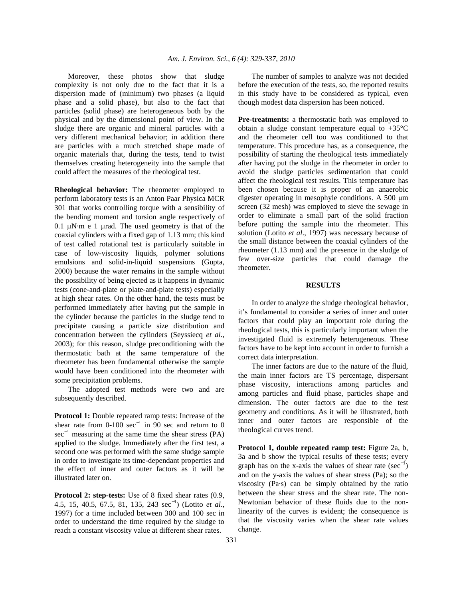Moreover, these photos show that sludge complexity is not only due to the fact that it is a dispersion made of (minimum) two phases (a liquid phase and a solid phase), but also to the fact that particles (solid phase) are heterogeneous both by the physical and by the dimensional point of view. In the sludge there are organic and mineral particles with a very different mechanical behavior; in addition there are particles with a much stretched shape made of organic materials that, during the tests, tend to twist themselves creating heterogeneity into the sample that could affect the measures of the rheological test.

**Rheological behavior:** The rheometer employed to perform laboratory tests is an Anton Paar Physica MCR 301 that works controlling torque with a sensibility of the bending moment and torsion angle respectively of 0.1  $\mu$ N·m e 1  $\mu$ rad. The used geometry is that of the coaxial cylinders with a fixed gap of 1.13 mm; this kind of test called rotational test is particularly suitable in case of low-viscosity liquids, polymer solutions emulsions and solid-in-liquid suspensions (Gupta, 2000) because the water remains in the sample without the possibility of being ejected as it happens in dynamic tests (cone-and-plate or plate-and-plate tests) especially at high shear rates. On the other hand, the tests must be performed immediately after having put the sample in the cylinder because the particles in the sludge tend to precipitate causing a particle size distribution and concentration between the cylinders (Seyssiecq *et al*., 2003); for this reason, sludge preconditioning with the thermostatic bath at the same temperature of the rheometer has been fundamental otherwise the sample would have been conditioned into the rheometer with some precipitation problems.

 The adopted test methods were two and are subsequently described.

**Protocol 1:** Double repeated ramp tests: Increase of the shear rate from 0-100 sec<sup>-1</sup> in 90 sec and return to 0 sec<sup>-1</sup> measuring at the same time the shear stress (PA) applied to the sludge. Immediately after the first test, a second one was performed with the same sludge sample in order to investigate its time-dependant properties and the effect of inner and outer factors as it will be illustrated later on.

**Protocol 2: step-tests:** Use of 8 fixed shear rates (0.9, 4.5, 15, 40.5, 67.5, 81, 135, 243 sec<sup>−</sup><sup>1</sup> ) (Lotito *et al*., 1997) for a time included between 300 and 100 sec in order to understand the time required by the sludge to reach a constant viscosity value at different shear rates.

 The number of samples to analyze was not decided before the execution of the tests, so, the reported results in this study have to be considered as typical, even though modest data dispersion has been noticed.

**Pre-treatments:** a thermostatic bath was employed to obtain a sludge constant temperature equal to +35°C and the rheometer cell too was conditioned to that temperature. This procedure has, as a consequence, the possibility of starting the rheological tests immediately after having put the sludge in the rheometer in order to avoid the sludge particles sedimentation that could affect the rheological test results. This temperature has been chosen because it is proper of an anaerobic digester operating in mesophyle conditions. A 500  $\mu$ m screen (32 mesh) was employed to sieve the sewage in order to eliminate a small part of the solid fraction before putting the sample into the rheometer. This solution (Lotito *et al*., 1997) was necessary because of the small distance between the coaxial cylinders of the rheometer (1.13 mm) and the presence in the sludge of few over-size particles that could damage the rheometer.

#### **RESULTS**

 In order to analyze the sludge rheological behavior, it's fundamental to consider a series of inner and outer factors that could play an important role during the rheological tests, this is particularly important when the investigated fluid is extremely heterogeneous. These factors have to be kept into account in order to furnish a correct data interpretation.

 The inner factors are due to the nature of the fluid, the main inner factors are TS percentage, dispersant phase viscosity, interactions among particles and among particles and fluid phase, particles shape and dimension. The outer factors are due to the test geometry and conditions. As it will be illustrated, both inner and outer factors are responsible of the rheological curves trend.

**Protocol 1, double repeated ramp test:** Figure 2a, b, 3a and b show the typical results of these tests; every graph has on the x-axis the values of shear rate ( $sec^{-1}$ ) and on the y-axis the values of shear stress (Pa); so the viscosity (Pa·s) can be simply obtained by the ratio between the shear stress and the shear rate. The non-Newtonian behavior of these fluids due to the nonlinearity of the curves is evident; the consequence is that the viscosity varies when the shear rate values change.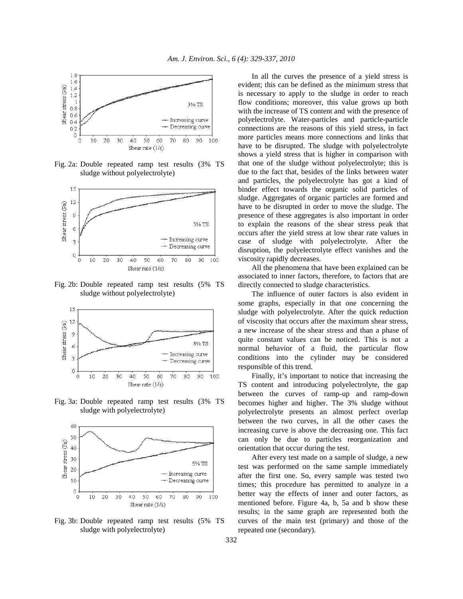

Fig. 2a: Double repeated ramp test results (3% TS sludge without polyelectrolyte)



Fig. 2b: Double repeated ramp test results (5% TS sludge without polyelectrolyte)



Fig. 3a: Double repeated ramp test results (3% TS sludge with polyelectrolyte)



Fig. 3b: Double repeated ramp test results (5% TS sludge with polyelectrolyte)

 In all the curves the presence of a yield stress is evident; this can be defined as the minimum stress that is necessary to apply to the sludge in order to reach flow conditions; moreover, this value grows up both with the increase of TS content and with the presence of polyelectrolyte. Water-particles and particle-particle connections are the reasons of this yield stress, in fact more particles means more connections and links that have to be disrupted. The sludge with polyelectrolyte shows a yield stress that is higher in comparison with that one of the sludge without polyelectrolyte; this is due to the fact that, besides of the links between water and particles, the polyelectrolyte has got a kind of binder effect towards the organic solid particles of sludge. Aggregates of organic particles are formed and have to be disrupted in order to move the sludge. The presence of these aggregates is also important in order to explain the reasons of the shear stress peak that occurs after the yield stress at low shear rate values in case of sludge with polyelectrolyte. After the disruption, the polyelectrolyte effect vanishes and the viscosity rapidly decreases.

 All the phenomena that have been explained can be associated to inner factors, therefore, to factors that are directly connected to sludge characteristics.

 The influence of outer factors is also evident in some graphs, especially in that one concerning the sludge with polyelectrolyte. After the quick reduction of viscosity that occurs after the maximum shear stress, a new increase of the shear stress and than a phase of quite constant values can be noticed. This is not a normal behavior of a fluid, the particular flow conditions into the cylinder may be considered responsible of this trend.

 Finally, it's important to notice that increasing the TS content and introducing polyelectrolyte, the gap between the curves of ramp-up and ramp-down becomes higher and higher. The 3% sludge without polyelectrolyte presents an almost perfect overlap between the two curves, in all the other cases the increasing curve is above the decreasing one. This fact can only be due to particles reorganization and orientation that occur during the test.

 After every test made on a sample of sludge, a new test was performed on the same sample immediately after the first one. So, every sample was tested two times; this procedure has permitted to analyze in a better way the effects of inner and outer factors, as mentioned before. Figure 4a, b, 5a and b show these results; in the same graph are represented both the curves of the main test (primary) and those of the repeated one (secondary).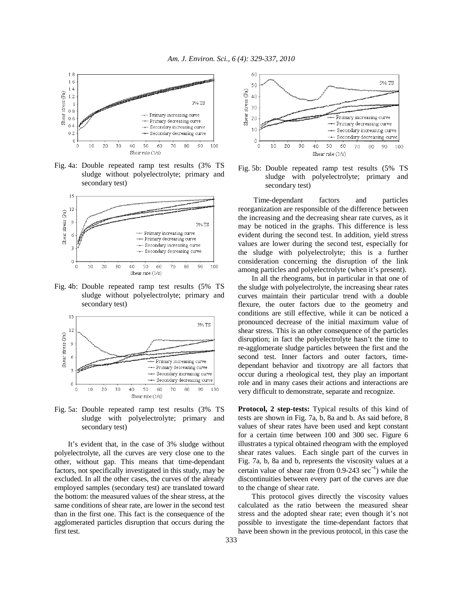

Fig. 4a: Double repeated ramp test results (3% TS sludge without polyelectrolyte; primary and secondary test)



Fig. 4b: Double repeated ramp test results (5% TS sludge without polyelectrolyte; primary and secondary test)



Fig. 5a: Double repeated ramp test results (3% TS sludge with polyelectrolyte; primary and secondary test)

 It's evident that, in the case of 3% sludge without polyelectrolyte, all the curves are very close one to the other, without gap. This means that time-dependant factors, not specifically investigated in this study, may be excluded. In all the other cases, the curves of the already employed samples (secondary test) are translated toward the bottom: the measured values of the shear stress, at the same conditions of shear rate, are lower in the second test than in the first one. This fact is the consequence of the agglomerated particles disruption that occurs during the first test.



Fig. 5b: Double repeated ramp test results (5% TS sludge with polyelectrolyte; primary and secondary test)

 Time-dependant factors and particles reorganization are responsible of the difference between the increasing and the decreasing shear rate curves, as it may be noticed in the graphs. This difference is less evident during the second test. In addition, yield stress values are lower during the second test, especially for the sludge with polyelectrolyte; this is a further consideration concerning the disruption of the link among particles and polyelectrolyte (when it's present).

 In all the rheograms, but in particular in that one of the sludge with polyelectrolyte, the increasing shear rates curves maintain their particular trend with a double flexure, the outer factors due to the geometry and conditions are still effective, while it can be noticed a pronounced decrease of the initial maximum value of shear stress. This is an other consequence of the particles disruption; in fact the polyelectrolyte hasn't the time to re-agglomerate sludge particles between the first and the second test. Inner factors and outer factors, timedependant behavior and tixotropy are all factors that occur during a rheological test, they play an important role and in many cases their actions and interactions are very difficult to demonstrate, separate and recognize.

**Protocol, 2 step-tests:** Typical results of this kind of tests are shown in Fig. 7a, b, 8a and b. As said before, 8 values of shear rates have been used and kept constant for a certain time between 100 and 300 sec. Figure 6 illustrates a typical obtained rheogram with the employed shear rates values. Each single part of the curves in Fig. 7a, b, 8a and b, represents the viscosity values at a certain value of shear rate (from  $0.9$ -243 sec<sup>-1</sup>) while the discontinuities between every part of the curves are due to the change of shear rate.

 This protocol gives directly the viscosity values calculated as the ratio between the measured shear stress and the adopted shear rate; even though it's not possible to investigate the time-dependant factors that have been shown in the previous protocol, in this case the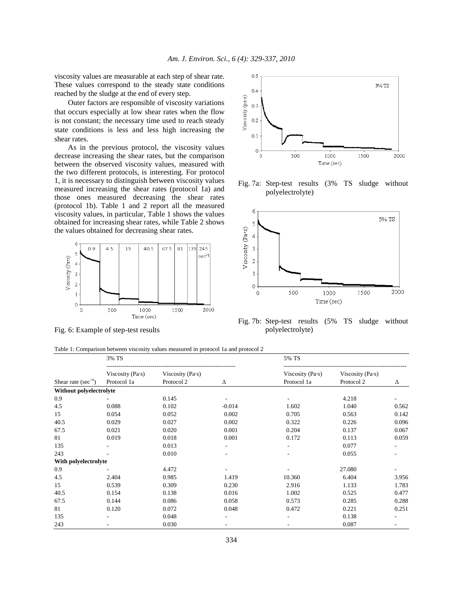viscosity values are measurable at each step of shear rate. These values correspond to the steady state conditions reached by the sludge at the end of every step.

 Outer factors are responsible of viscosity variations that occurs especially at low shear rates when the flow is not constant; the necessary time used to reach steady state conditions is less and less high increasing the shear rates.

 As in the previous protocol, the viscosity values decrease increasing the shear rates, but the comparison between the observed viscosity values, measured with the two different protocols, is interesting. For protocol 1, it is necessary to distinguish between viscosity values measured increasing the shear rates (protocol 1a) and those ones measured decreasing the shear rates (protocol 1b). Table 1 and 2 report all the measured viscosity values, in particular, Table 1 shows the values obtained for increasing shear rates, while Table 2 shows the values obtained for decreasing shear rates.



Fig. 6: Example of step-test results



Fig. 7a: Step-test results (3% TS sludge without polyelectrolyte)



Fig. 7b: Step-test results (5% TS sludge without polyelectrolyte)

| Table 1: Comparison between viscosity values measured in protocol 1a and protocol 2 |  |  |  |  |  |  |  |  |  |
|-------------------------------------------------------------------------------------|--|--|--|--|--|--|--|--|--|
|-------------------------------------------------------------------------------------|--|--|--|--|--|--|--|--|--|

|                           | 3% TS                                                                          |       |          | 5% TS                                   |                                             |       |
|---------------------------|--------------------------------------------------------------------------------|-------|----------|-----------------------------------------|---------------------------------------------|-------|
| Shear rate ( $sec^{-1}$ ) | Viscosity (Pa·s)<br>Viscosity (Pa $\cdot$ s)<br>Protocol 1a<br>Protocol 2<br>Δ |       |          | Viscosity (Pa $\cdot$ s)<br>Protocol 1a | Viscosity (Pa $\cdot$ s)<br>Protocol 2<br>Δ |       |
| Without polyelectrolyte   |                                                                                |       |          |                                         |                                             |       |
| 0.9                       |                                                                                | 0.145 |          |                                         | 4.218                                       |       |
| 4.5                       | 0.088                                                                          | 0.102 | $-0.014$ | 1.602                                   | 1.040                                       | 0.562 |
| 15                        | 0.054                                                                          | 0.052 | 0.002    | 0.705                                   | 0.563                                       | 0.142 |
| 40.5                      | 0.029                                                                          | 0.027 | 0.002    | 0.322                                   | 0.226                                       | 0.096 |
| 67.5                      | 0.021                                                                          | 0.020 | 0.001    | 0.204                                   | 0.137                                       | 0.067 |
| 81                        | 0.019                                                                          | 0.018 | 0.001    | 0.172                                   | 0.113                                       | 0.059 |
| 135                       |                                                                                | 0.013 |          |                                         | 0.077                                       |       |
| 243                       |                                                                                | 0.010 | ٠        |                                         | 0.055                                       |       |
| With polyelectrolyte      |                                                                                |       |          |                                         |                                             |       |
| 0.9                       |                                                                                | 4.472 |          |                                         | 27.080                                      |       |
| 4.5                       | 2.404                                                                          | 0.985 | 1.419    | 10.360                                  | 6.404                                       | 3.956 |
| 15                        | 0.539                                                                          | 0.309 | 0.230    | 2.916                                   | 1.133                                       | 1.783 |
| 40.5                      | 0.154                                                                          | 0.138 | 0.016    | 1.002                                   | 0.525                                       | 0.477 |
| 67.5                      | 0.144                                                                          | 0.086 | 0.058    | 0.573                                   | 0.285                                       | 0.288 |
| 81                        | 0.120                                                                          | 0.072 | 0.048    | 0.472                                   | 0.221                                       | 0.251 |
| 135                       |                                                                                | 0.048 |          |                                         | 0.138                                       |       |
| 243                       |                                                                                | 0.030 |          |                                         | 0.087                                       |       |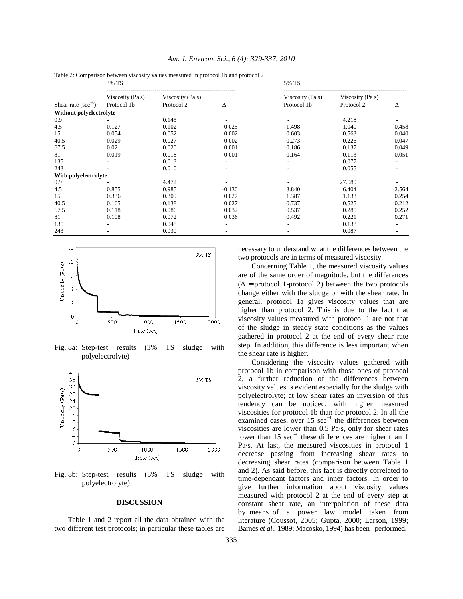|                          | 3% TS                                                |            |                          | 5% TS            |                          |          |
|--------------------------|------------------------------------------------------|------------|--------------------------|------------------|--------------------------|----------|
|                          | Viscosity (Pa $\cdot$ s)<br>Viscosity (Pa $\cdot$ s) |            |                          | Viscosity (Pa·s) | Viscosity (Pa $\cdot$ s) |          |
| Shear rate $(\sec^{-1})$ | Protocol 1b                                          | Protocol 2 | Δ                        | Protocol 1b      | Protocol 2               | Δ        |
| Without polyelectrolyte  |                                                      |            |                          |                  |                          |          |
| 0.9                      |                                                      | 0.145      |                          |                  | 4.218                    |          |
| 4.5                      | 0.127                                                | 0.102      | 0.025                    | 1.498            | 1.040                    | 0.458    |
| 15                       | 0.054                                                | 0.052      | 0.002                    | 0.603            | 0.563                    | 0.040    |
| 40.5                     | 0.029                                                | 0.027      | 0.002                    | 0.273            | 0.226                    | 0.047    |
| 67.5                     | 0.021                                                | 0.020      | 0.001                    | 0.186            | 0.137                    | 0.049    |
| 81                       | 0.019                                                | 0.018      | 0.001                    | 0.164            | 0.113                    | 0.051    |
| 135                      |                                                      | 0.013      | $\overline{\phantom{a}}$ | ۰                | 0.077                    |          |
| 243                      |                                                      | 0.010      |                          |                  | 0.055                    |          |
| With polyelectrolyte     |                                                      |            |                          |                  |                          |          |
| 0.9                      |                                                      | 4.472      |                          |                  | 27.080                   |          |
| 4.5                      | 0.855                                                | 0.985      | $-0.130$                 | 3.840            | 6.404                    | $-2.564$ |
| 15                       | 0.336                                                | 0.309      | 0.027                    | 1.387            | 1.133                    | 0.254    |
| 40.5                     | 0.165                                                | 0.138      | 0.027                    | 0.737            | 0.525                    | 0.212    |
| 67.5                     | 0.118                                                | 0.086      | 0.032                    | 0.537            | 0.285                    | 0.252    |
| 81                       | 0.108                                                | 0.072      | 0.036                    | 0.492            | 0.221                    | 0.271    |
| 135                      |                                                      | 0.048      |                          |                  | 0.138                    |          |
| 243                      |                                                      | 0.030      |                          |                  | 0.087                    |          |

*Am. J. Environ. Sci., 6 (4): 329-337, 2010* 

Table 2: Comparison between viscosity values measured in protocol 1b and protocol 2



Fig. 8a: Step-test results (3% TS sludge with polyelectrolyte)



Fig. 8b: Step-test results (5% TS sludge with polyelectrolyte)

#### **DISCUSSION**

 Table 1 and 2 report all the data obtained with the two different test protocols; in particular these tables are necessary to understand what the differences between the two protocols are in terms of measured viscosity.

 Concerning Table 1, the measured viscosity values are of the same order of magnitude, but the differences  $(\Delta =$  protocol 1-protocol 2) between the two protocols change either with the sludge or with the shear rate. In general, protocol 1a gives viscosity values that are higher than protocol 2. This is due to the fact that viscosity values measured with protocol 1 are not that of the sludge in steady state conditions as the values gathered in protocol 2 at the end of every shear rate step. In addition, this difference is less important when the shear rate is higher.

 Considering the viscosity values gathered with protocol 1b in comparison with those ones of protocol 2, a further reduction of the differences between viscosity values is evident especially for the sludge with polyelectrolyte; at low shear rates an inversion of this tendency can be noticed, with higher measured viscosities for protocol 1b than for protocol 2. In all the examined cases, over 15  $sec^{-1}$  the differences between viscosities are lower than 0.5 Pa·s, only for shear rates lower than 15 sec<sup>-1</sup> these differences are higher than 1 Pa·s. At last, the measured viscosities in protocol 1 decrease passing from increasing shear rates to decreasing shear rates (comparison between Table 1 and 2). As said before, this fact is directly correlated to time-dependant factors and inner factors. In order to give further information about viscosity values measured with protocol 2 at the end of every step at constant shear rate, an interpolation of these data by means of a power law model taken from literature (Coussot, 2005; Gupta, 2000; Larson, 1999; Barnes *et al*., 1989; Macosko, 1994) has been performed.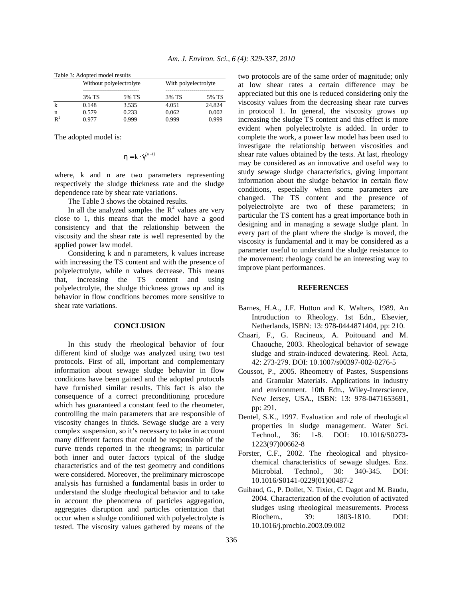| Table 5. Adopted model results |       |                         |                      |        |  |  |
|--------------------------------|-------|-------------------------|----------------------|--------|--|--|
|                                |       | Without polyelectrolyte | With polyelectrolyte |        |  |  |
|                                |       |                         |                      |        |  |  |
|                                | 3% TS | 5% TS                   | 3% TS                | 5% TS  |  |  |
|                                | 0.148 | 3.535                   | 4.051                | 24.824 |  |  |
| n                              | 0.579 | 0.233                   | 0.062                | 0.002  |  |  |
| $R^2$                          | 0.977 | 0.999                   | 0.999                | 0.999  |  |  |

Table 3: Adopted model results

The adopted model is:

$$
\eta = k \cdot \dot{\gamma}^{(n-1)}
$$

where, k and n are two parameters representing respectively the sludge thickness rate and the sludge dependence rate by shear rate variations.

The Table 3 shows the obtained results.

In all the analyzed samples the  $R^2$  values are very close to 1, this means that the model have a good consistency and that the relationship between the viscosity and the shear rate is well represented by the applied power law model.

 Considering k and n parameters, k values increase with increasing the TS content and with the presence of polyelectrolyte, while n values decrease. This means that, increasing the TS content and using polyelectrolyte, the sludge thickness grows up and its behavior in flow conditions becomes more sensitive to shear rate variations.

#### **CONCLUSION**

 In this study the rheological behavior of four different kind of sludge was analyzed using two test protocols. First of all, important and complementary information about sewage sludge behavior in flow conditions have been gained and the adopted protocols have furnished similar results. This fact is also the consequence of a correct preconditioning procedure which has guaranteed a constant feed to the rheometer, controlling the main parameters that are responsible of viscosity changes in fluids. Sewage sludge are a very complex suspension, so it's necessary to take in account many different factors that could be responsible of the curve trends reported in the rheograms; in particular both inner and outer factors typical of the sludge characteristics and of the test geometry and conditions were considered. Moreover, the preliminary microscope analysis has furnished a fundamental basis in order to understand the sludge rheological behavior and to take in account the phenomena of particles aggregation, aggregates disruption and particles orientation that occur when a sludge conditioned with polyelectrolyte is tested. The viscosity values gathered by means of the

two protocols are of the same order of magnitude; only at low shear rates a certain difference may be appreciated but this one is reduced considering only the viscosity values from the decreasing shear rate curves in protocol 1. In general, the viscosity grows up increasing the sludge TS content and this effect is more evident when polyelectrolyte is added. In order to complete the work, a power law model has been used to investigate the relationship between viscosities and shear rate values obtained by the tests. At last, rheology may be considered as an innovative and useful way to study sewage sludge characteristics, giving important information about the sludge behavior in certain flow conditions, especially when some parameters are changed. The TS content and the presence of polyelectrolyte are two of these parameters; in particular the TS content has a great importance both in designing and in managing a sewage sludge plant. In every part of the plant where the sludge is moved, the viscosity is fundamental and it may be considered as a parameter useful to understand the sludge resistance to the movement: rheology could be an interesting way to improve plant performances.

## **REFERENCES**

- Barnes, H.A., J.F. Hutton and K. Walters, 1989. An Introduction to Rheology. 1st Edn., Elsevier, Netherlands, ISBN: 13: 978-0444871404, pp: 210.
- Chaari, F., G. Racineux, A. Poitouand and M. Chaouche, 2003. Rheological behavior of sewage sludge and strain-induced dewatering. Reol. Acta, 42: 273-279. DOI: 10.1007/s00397-002-0276-5
- Coussot, P., 2005. Rheometry of Pastes, Suspensions and Granular Materials. Applications in industry and environment. 10th Edn., Wiley-Interscience, New Jersey, USA., ISBN: 13: 978-0471653691, pp: 291.
- Dentel, S.K., 1997. Evaluation and role of rheological properties in sludge management. Water Sci. Technol., 36: 1-8. DOI: 10.1016/S0273- 1223(97)00662-8
- Forster, C.F., 2002. The rheological and physicochemical characteristics of sewage sludges. Enz. Microbial. Technol., 30: 340-345. DOI: 10.1016/S0141-0229(01)00487-2
- Guibaud, G., P. Dollet, N. Tixier, C. Dagot and M. Baudu, 2004. Characterization of the evolution of activated sludges using rheological measurements. Process Biochem., 39: 1803-1810. DOI: 10.1016/j.procbio.2003.09.002